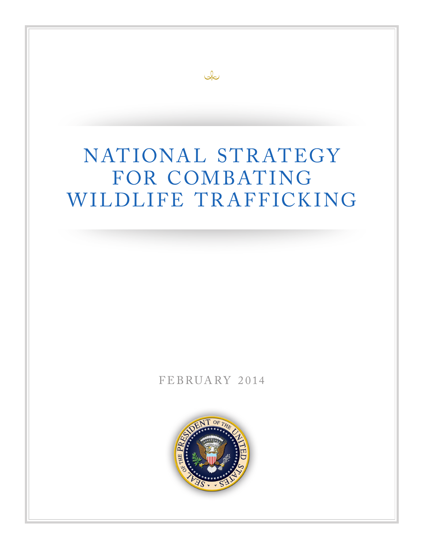## NATIONAL STRATEGY FOR COMBATING WILDLIFE TRAFFICKING

 $\infty$ 

#### FEBRUARY 2014

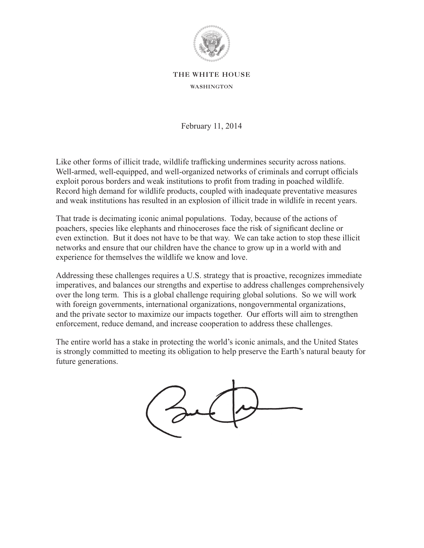

THE WHITE HOUSE WASHINGTON

February 11, 2014

Like other forms of illicit trade, wildlife trafficking undermines security across nations. Well-armed, well-equipped, and well-organized networks of criminals and corrupt officials exploit porous borders and weak institutions to profit from trading in poached wildlife. Record high demand for wildlife products, coupled with inadequate preventative measures and weak institutions has resulted in an explosion of illicit trade in wildlife in recent years.

That trade is decimating iconic animal populations. Today, because of the actions of poachers, species like elephants and rhinoceroses face the risk of significant decline or even extinction. But it does not have to be that way. We can take action to stop these illicit networks and ensure that our children have the chance to grow up in a world with and experience for themselves the wildlife we know and love.

Addressing these challenges requires a U.S. strategy that is proactive, recognizes immediate imperatives, and balances our strengths and expertise to address challenges comprehensively over the long term. This is a global challenge requiring global solutions. So we will work with foreign governments, international organizations, nongovernmental organizations, and the private sector to maximize our impacts together. Our efforts will aim to strengthen enforcement, reduce demand, and increase cooperation to address these challenges.

The entire world has a stake in protecting the world's iconic animals, and the United States is strongly committed to meeting its obligation to help preserve the Earth's natural beauty for future generations.

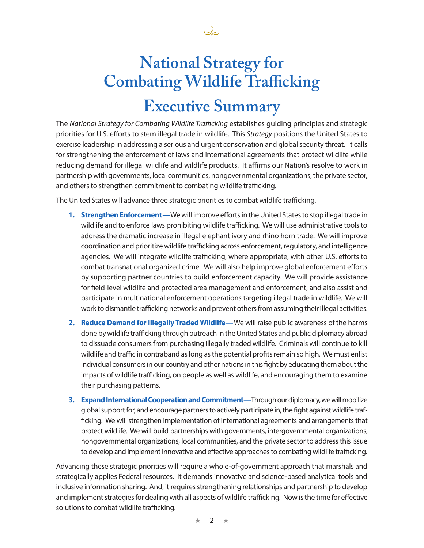

# **National Strategy for Combating Wildlife Trafficking**

## **Executive Summary**  The *National Strategy for Combating Wildlife Trafficking* establishes guiding principles and strategic

priorities for U.S. efforts to stem illegal trade in wildlife. This *Strategy* positions the United States to exercise leadership in addressing a serious and urgent conservation and global security threat. It calls for strengthening the enforcement of laws and international agreements that protect wildlife while reducing demand for illegal wildlife and wildlife products. It affirms our Nation's resolve to work in partnership with governments, local communities, nongovernmental organizations, the private sector, and others to strengthen commitment to combating wildlife trafficking.

The United States will advance three strategic priorities to combat wildlife trafficking.

- **1. Strengthen Enforcement** We will improve efforts in the United States to stop illegal trade in wildlife and to enforce laws prohibiting wildlife trafficking. We will use administrative tools to address the dramatic increase in illegal elephant ivory and rhino horn trade. We will improve coordination and prioritize wildlife trafficking across enforcement, regulatory, and intelligence agencies. We will integrate wildlife trafficking, where appropriate, with other U.S. efforts to combat transnational organized crime. We will also help improve global enforcement efforts by supporting partner countries to build enforcement capacity. We will provide assistance for field-level wildlife and protected area management and enforcement, and also assist and participate in multinational enforcement operations targeting illegal trade in wildlife. We will work to dismantle trafficking networks and prevent others from assuming their illegal activities.
- **2. Reduce Demand for Illegally Traded Wildlife** We will raise public awareness of the harms done by wildlife trafficking through outreach in the United States and public diplomacy abroad to dissuade consumers from purchasing illegally traded wildlife. Criminals will continue to kill wildlife and traffic in contraband as long as the potential profits remain so high. We must enlist individual consumers in our country and other nations in this fight by educating them about the impacts of wildlife trafficking, on people as well as wildlife, and encouraging them to examine their purchasing patterns.
- **3. Expand International Cooperation and Commitment** Through our diplomacy, we will mobilize global support for, and encourage partners to actively participate in, the fight against wildlife trafficking. We will strengthen implementation of international agreements and arrangements that protect wildlife. We will build partnerships with governments, intergovernmental organizations, nongovernmental organizations, local communities, and the private sector to address this issue to develop and implement innovative and effective approaches to combating wildlife trafficking.

Advancing these strategic priorities will require a whole-of-government approach that marshals and strategically applies Federal resources. It demands innovative and science-based analytical tools and inclusive information sharing. And, it requires strengthening relationships and partnership to develop and implement strategies for dealing with all aspects of wildlife trafficking. Now is the time for effective solutions to combat wildlife trafficking.

★ 2 ★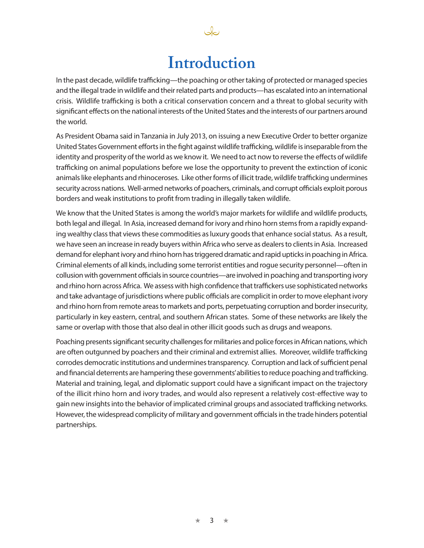## **Introduction**

رحلها

In the past decade, wildlife trafficking—the poaching or other taking of protected or managed species and the illegal trade in wildlife and their related parts and products—has escalated into an international crisis. Wildlife trafficking is both a critical conservation concern and a threat to global security with significant effects on the national interests of the United States and the interests of our partners around the world.

As President Obama said in Tanzania in July 2013, on issuing a new Executive Order to better organize United States Government efforts in the fight against wildlife trafficking, wildlife is inseparable from the identity and prosperity of the world as we know it. We need to act now to reverse the effects of wildlife trafficking on animal populations before we lose the opportunity to prevent the extinction of iconic animals like elephants and rhinoceroses. Like other forms of illicit trade, wildlife trafficking undermines security across nations. Well-armed networks of poachers, criminals, and corrupt officials exploit porous borders and weak institutions to profit from trading in illegally taken wildlife.

We know that the United States is among the world's major markets for wildlife and wildlife products, both legal and illegal. In Asia, increased demand for ivory and rhino horn stems from a rapidly expanding wealthy class that views these commodities as luxury goods that enhance social status. As a result, we have seen an increase in ready buyers within Africa who serve as dealers to clients in Asia. Increased demand for elephant ivory and rhino horn has triggered dramatic and rapid upticks in poaching in Africa. Criminal elements of all kinds, including some terrorist entities and rogue security personnel—often in collusion with government officials in source countries—are involved in poaching and transporting ivory and rhino horn across Africa. We assess with high confidence that traffickers use sophisticated networks and take advantage of jurisdictions where public officials are complicit in order to move elephant ivory and rhino horn from remote areas to markets and ports, perpetuating corruption and border insecurity, particularly in key eastern, central, and southern African states. Some of these networks are likely the same or overlap with those that also deal in other illicit goods such as drugs and weapons.

Poaching presents significant security challenges for militaries and police forces in African nations, which are often outgunned by poachers and their criminal and extremist allies. Moreover, wildlife trafficking corrodes democratic institutions and undermines transparency. Corruption and lack of sufficient penal and financial deterrents are hampering these governments' abilities to reduce poaching and trafficking. Material and training, legal, and diplomatic support could have a significant impact on the trajectory of the illicit rhino horn and ivory trades, and would also represent a relatively cost-effective way to gain new insights into the behavior of implicated criminal groups and associated trafficking networks. However, the widespread complicity of military and government officials in the trade hinders potential partnerships.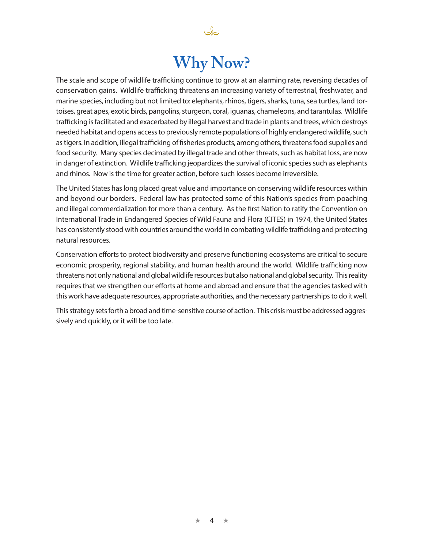

The scale and scope of wildlife trafficking continue to grow at an alarming rate, reversing decades of conservation gains. Wildlife trafficking threatens an increasing variety of terrestrial, freshwater, and marine species, including but not limited to: elephants, rhinos, tigers, sharks, tuna, sea turtles, land tortoises, great apes, exotic birds, pangolins, sturgeon, coral, iguanas, chameleons, and tarantulas. Wildlife trafficking is facilitated and exacerbated by illegal harvest and trade in plants and trees, which destroys needed habitat and opens access to previously remote populations of highly endangered wildlife, such as tigers. In addition, illegal trafficking of fisheries products, among others, threatens food supplies and food security. Many species decimated by illegal trade and other threats, such as habitat loss, are now in danger of extinction. Wildlife trafficking jeopardizes the survival of iconic species such as elephants and rhinos. Now is the time for greater action, before such losses become irreversible.

The United States has long placed great value and importance on conserving wildlife resources within and beyond our borders. Federal law has protected some of this Nation's species from poaching and illegal commercialization for more than a century. As the first Nation to ratify the Convention on International Trade in Endangered Species of Wild Fauna and Flora (CITES) in 1974, the United States has consistently stood with countries around the world in combating wildlife trafficking and protecting natural resources.

Conservation efforts to protect biodiversity and preserve functioning ecosystems are critical to secure economic prosperity, regional stability, and human health around the world. Wildlife trafficking now threatens not only national and global wildlife resources but also national and global security. This reality requires that we strengthen our efforts at home and abroad and ensure that the agencies tasked with this work have adequate resources, appropriate authorities, and the necessary partnerships to do it well.

This strategy sets forth a broad and time-sensitive course of action. This crisis must be addressed aggressively and quickly, or it will be too late.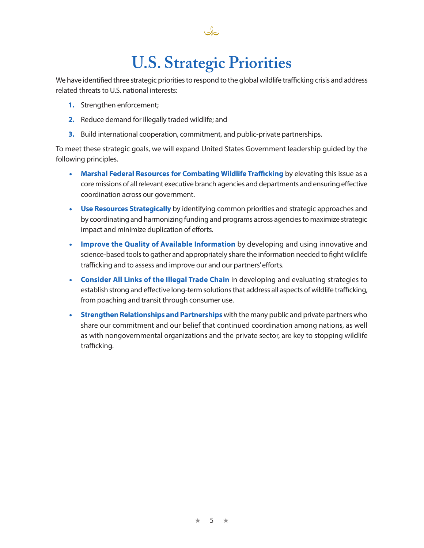

## **U.S. Strategic Priorities**

We have identified three strategic priorities to respond to the global wildlife trafficking crisis and address related threats to U.S. national interests:

- **1.** Strengthen enforcement;
- **2.** Reduce demand for illegally traded wildlife; and
- **3.** Build international cooperation, commitment, and public-private partnerships.

To meet these strategic goals, we will expand United States Government leadership guided by the following principles.

- **Marshal Federal Resources for Combating Wildlife Trafficking** by elevating this issue as a core missions of all relevant executive branch agencies and departments and ensuring effective coordination across our government.
- **Use Resources Strategically** by identifying common priorities and strategic approaches and by coordinating and harmonizing funding and programs across agencies to maximize strategic impact and minimize duplication of efforts.
- **Improve the Quality of Available Information** by developing and using innovative and science-based tools to gather and appropriately share the information needed to fight wildlife trafficking and to assess and improve our and our partners' efforts.
- **Consider All Links of the Illegal Trade Chain** in developing and evaluating strategies to establish strong and effective long-term solutions that address all aspects of wildlife trafficking, from poaching and transit through consumer use.
- **Strengthen Relationships and Partnerships** with the many public and private partners who share our commitment and our belief that continued coordination among nations, as well as with nongovernmental organizations and the private sector, are key to stopping wildlife trafficking.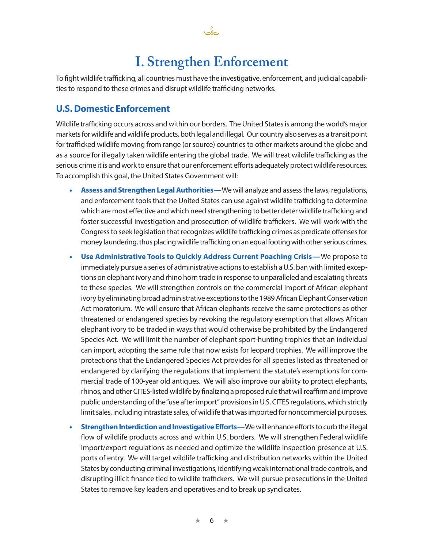### **I. Strengthen Enforcement**

زعلجا

To fight wildlife trafficking, all countries must have the investigative, enforcement, and judicial capabilities to respond to these crimes and disrupt wildlife trafficking networks.

#### **U.S. Domestic Enforcement**

Wildlife trafficking occurs across and within our borders. The United States is among the world's major markets for wildlife and wildlife products, both legal and illegal. Our country also serves as a transit point for trafficked wildlife moving from range (or source) countries to other markets around the globe and as a source for illegally taken wildlife entering the global trade. We will treat wildlife trafficking as the serious crime it is and work to ensure that our enforcement efforts adequately protect wildlife resources. To accomplish this goal, the United States Government will:

- **Assess and Strengthen Legal Authorities** We will analyze and assess the laws, regulations, and enforcement tools that the United States can use against wildlife trafficking to determine which are most effective and which need strengthening to better deter wildlife trafficking and foster successful investigation and prosecution of wildlife traffickers. We will work with the Congress to seek legislation that recognizes wildlife trafficking crimes as predicate offenses for money laundering, thus placing wildlife trafficking on an equal footing with other serious crimes.
- **Use Administrative Tools to Quickly Address Current Poaching Crisis** We propose to immediately pursue a series of administrative actions to establish a U.S. ban with limited exceptions on elephant ivory and rhino horn trade in response to unparalleled and escalating threats to these species. We will strengthen controls on the commercial import of African elephant ivory by eliminating broad administrative exceptions to the 1989 African Elephant Conservation Act moratorium. We will ensure that African elephants receive the same protections as other threatened or endangered species by revoking the regulatory exemption that allows African elephant ivory to be traded in ways that would otherwise be prohibited by the Endangered Species Act. We will limit the number of elephant sport-hunting trophies that an individual can import, adopting the same rule that now exists for leopard trophies. We will improve the protections that the Endangered Species Act provides for all species listed as threatened or endangered by clarifying the regulations that implement the statute's exemptions for commercial trade of 100-year old antiques. We will also improve our ability to protect elephants, rhinos, and other CITES-listed wildlife by finalizing a proposed rule that will reaffirm and improve public understanding of the "use after import" provisions in U.S. CITES regulations, which strictly limit sales, including intrastate sales, of wildlife that was imported for noncommercial purposes.
- **Strengthen Interdiction and Investigative Efforts** We will enhance efforts to curb the illegal flow of wildlife products across and within U.S. borders. We will strengthen Federal wildlife import/export regulations as needed and optimize the wildlife inspection presence at U.S. ports of entry. We will target wildlife trafficking and distribution networks within the United States by conducting criminal investigations, identifying weak international trade controls, and disrupting illicit finance tied to wildlife traffickers. We will pursue prosecutions in the United States to remove key leaders and operatives and to break up syndicates.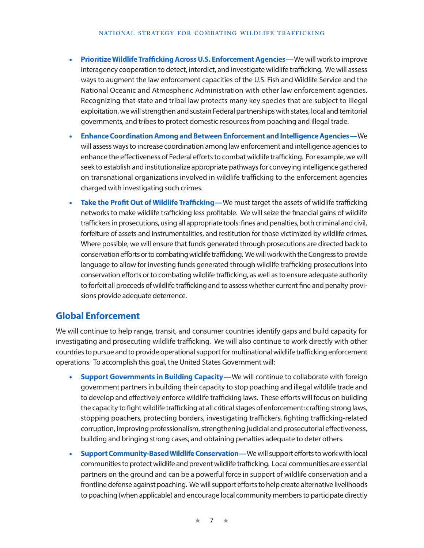- **Prioritize Wildlife Trafficking Across U.S. Enforcement Agencies** We will work to improve interagency cooperation to detect, interdict, and investigate wildlife trafficking. We will assess ways to augment the law enforcement capacities of the U.S. Fish and Wildlife Service and the National Oceanic and Atmospheric Administration with other law enforcement agencies. Recognizing that state and tribal law protects many key species that are subject to illegal exploitation, we will strengthen and sustain Federal partnerships with states, local and territorial governments, and tribes to protect domestic resources from poaching and illegal trade.
- **Enhance Coordination Among and Between Enforcement and Intelligence Agencies** We will assess ways to increase coordination among law enforcement and intelligence agencies to enhance the effectiveness of Federal efforts to combat wildlife trafficking. For example, we will seek to establish and institutionalize appropriate pathways for conveying intelligence gathered on transnational organizations involved in wildlife trafficking to the enforcement agencies charged with investigating such crimes.
- **Take the Profit Out of Wildlife Trafficking** We must target the assets of wildlife trafficking networks to make wildlife trafficking less profitable. We will seize the financial gains of wildlife traffickers in prosecutions, using all appropriate tools: fines and penalties, both criminal and civil, forfeiture of assets and instrumentalities, and restitution for those victimized by wildlife crimes. Where possible, we will ensure that funds generated through prosecutions are directed back to conservation efforts or to combating wildlife trafficking. We will work with the Congress to provide language to allow for investing funds generated through wildlife trafficking prosecutions into conservation efforts or to combating wildlife trafficking, as well as to ensure adequate authority to forfeit all proceeds of wildlife trafficking and to assess whether current fine and penalty provisions provide adequate deterrence.

#### **Global Enforcement**

We will continue to help range, transit, and consumer countries identify gaps and build capacity for investigating and prosecuting wildlife trafficking. We will also continue to work directly with other countries to pursue and to provide operational support for multinational wildlife trafficking enforcement operations. To accomplish this goal, the United States Government will:

- Support Governments in Building Capacity—We will continue to collaborate with foreign government partners in building their capacity to stop poaching and illegal wildlife trade and to develop and effectively enforce wildlife trafficking laws. These efforts will focus on building the capacity to fight wildlife trafficking at all critical stages of enforcement: crafting strong laws, stopping poachers, protecting borders, investigating traffickers, fighting trafficking-related corruption, improving professionalism, strengthening judicial and prosecutorial effectiveness, building and bringing strong cases, and obtaining penalties adequate to deter others.
- **Support Community-Based Wildlife Conservation** We will support efforts to work with local communities to protect wildlife and prevent wildlife trafficking. Local communities are essential partners on the ground and can be a powerful force in support of wildlife conservation and a frontline defense against poaching. We will support efforts to help create alternative livelihoods to poaching (when applicable) and encourage local community members to participate directly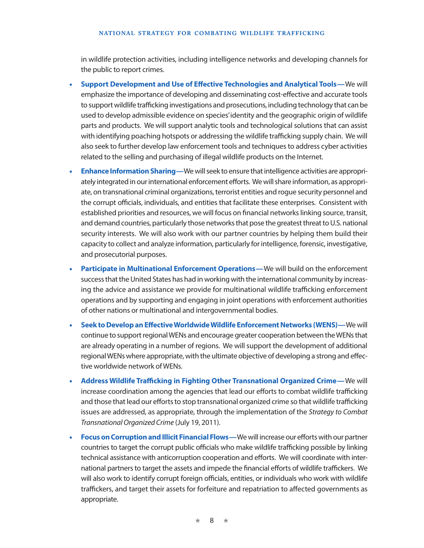in wildlife protection activities, including intelligence networks and developing channels for the public to report crimes.

- **Support Development and Use of Effective Technologies and Analytical Tools** We will emphasize the importance of developing and disseminating cost-effective and accurate tools to support wildlife trafficking investigations and prosecutions, including technology that can be used to develop admissible evidence on species' identity and the geographic origin of wildlife parts and products. We will support analytic tools and technological solutions that can assist with identifying poaching hotspots or addressing the wildlife trafficking supply chain. We will also seek to further develop law enforcement tools and techniques to address cyber activities related to the selling and purchasing of illegal wildlife products on the Internet.
- **Enhance Information Sharing** We will seek to ensure that intelligence activities are appropriately integrated in our international enforcement efforts. We will share information, as appropriate, on transnational criminal organizations, terrorist entities and rogue security personnel and the corrupt officials, individuals, and entities that facilitate these enterprises. Consistent with established priorities and resources, we will focus on financial networks linking source, transit, and demand countries, particularly those networks that pose the greatest threat to U.S. national security interests. We will also work with our partner countries by helping them build their capacity to collect and analyze information, particularly for intelligence, forensic, investigative, and prosecutorial purposes.
- **Participate in Multinational Enforcement Operations—We will build on the enforcement** success that the United States has had in working with the international community by increasing the advice and assistance we provide for multinational wildlife trafficking enforcement operations and by supporting and engaging in joint operations with enforcement authorities of other nations or multinational and intergovernmental bodies.
- **Seek to Develop an Effective Worldwide Wildlife Enforcement Networks (WENS)** We will continue to support regional WENs and encourage greater cooperation between the WENs that are already operating in a number of regions. We will support the development of additional regional WENs where appropriate, with the ultimate objective of developing a strong and effective worldwide network of WENs.
- **Address Wildlife Trafficking in Fighting Other Transnational Organized Crime** We will increase coordination among the agencies that lead our efforts to combat wildlife trafficking and those that lead our efforts to stop transnational organized crime so that wildlife trafficking issues are addressed, as appropriate, through the implementation of the *Strategy to Combat Transnational Organized Crime* (July 19, 2011).
- **Focus on Corruption and Illicit Financial Flows** We will increase our efforts with our partner countries to target the corrupt public officials who make wildlife trafficking possible by linking technical assistance with anticorruption cooperation and efforts. We will coordinate with international partners to target the assets and impede the financial efforts of wildlife traffickers. We will also work to identify corrupt foreign officials, entities, or individuals who work with wildlife traffickers, and target their assets for forfeiture and repatriation to affected governments as appropriate.

★ 8 ★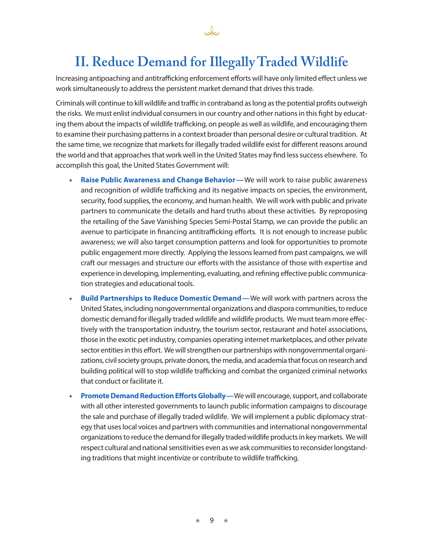## **II. Reduce Demand for Illegally Traded Wildlife**

Increasing antipoaching and antitrafficking enforcement efforts will have only limited effect unless we work simultaneously to address the persistent market demand that drives this trade.

Criminals will continue to kill wildlife and traffic in contraband as long as the potential profits outweigh the risks. We must enlist individual consumers in our country and other nations in this fight by educating them about the impacts of wildlife trafficking, on people as well as wildlife, and encouraging them to examine their purchasing patterns in a context broader than personal desire or cultural tradition. At the same time, we recognize that markets for illegally traded wildlife exist for different reasons around the world and that approaches that work well in the United States may find less success elsewhere. To accomplish this goal, the United States Government will:

- **Raise Public Awareness and Change Behavior** We will work to raise public awareness and recognition of wildlife trafficking and its negative impacts on species, the environment, security, food supplies, the economy, and human health. We will work with public and private partners to communicate the details and hard truths about these activities. By reproposing the retailing of the Save Vanishing Species Semi-Postal Stamp, we can provide the public an avenue to participate in financing antitrafficking efforts. It is not enough to increase public awareness; we will also target consumption patterns and look for opportunities to promote public engagement more directly. Applying the lessons learned from past campaigns, we will craft our messages and structure our efforts with the assistance of those with expertise and experience in developing, implementing, evaluating, and refining effective public communication strategies and educational tools.
- **Build Partnerships to Reduce Domestic Demand** We will work with partners across the United States, including nongovernmental organizations and diaspora communities, to reduce domestic demand for illegally traded wildlife and wildlife products. We must team more effectively with the transportation industry, the tourism sector, restaurant and hotel associations, those in the exotic pet industry, companies operating internet marketplaces, and other private sector entities in this effort. We will strengthen our partnerships with nongovernmental organizations, civil society groups, private donors, the media, and academia that focus on research and building political will to stop wildlife trafficking and combat the organized criminal networks that conduct or facilitate it.
- **Promote Demand Reduction Efforts Globally** We will encourage, support, and collaborate with all other interested governments to launch public information campaigns to discourage the sale and purchase of illegally traded wildlife. We will implement a public diplomacy strategy that uses local voices and partners with communities and international nongovernmental organizations to reduce the demand for illegally traded wildlife products in key markets. We will respect cultural and national sensitivities even as we ask communities to reconsider longstanding traditions that might incentivize or contribute to wildlife trafficking.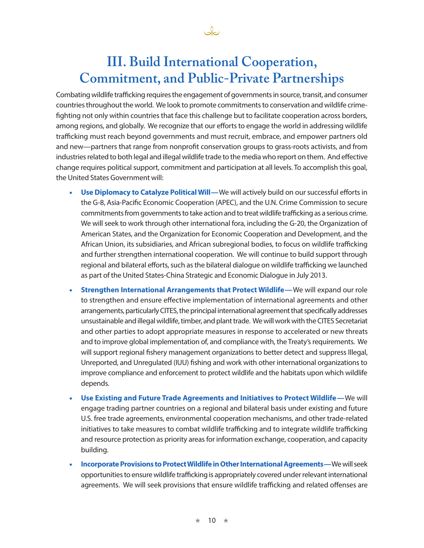### **III. Build International Cooperation, Commitment, and Public-Private Partnerships**

Combating wildlife trafficking requires the engagement of governments in source, transit, and consumer countries throughout the world. We look to promote commitments to conservation and wildlife crimefighting not only within countries that face this challenge but to facilitate cooperation across borders, among regions, and globally. We recognize that our efforts to engage the world in addressing wildlife trafficking must reach beyond governments and must recruit, embrace, and empower partners old and new—partners that range from nonprofit conservation groups to grass-roots activists, and from industries related to both legal and illegal wildlife trade to the media who report on them. And effective change requires political support, commitment and participation at all levels. To accomplish this goal, the United States Government will:

- **Use Diplomacy to Catalyze Political Will** We will actively build on our successful efforts in the G-8, Asia-Pacific Economic Cooperation (APEC), and the U.N. Crime Commission to secure commitments from governments to take action and to treat wildlife trafficking as a serious crime. We will seek to work through other international fora, including the G-20, the Organization of American States, and the Organization for Economic Cooperation and Development, and the African Union, its subsidiaries, and African subregional bodies, to focus on wildlife trafficking and further strengthen international cooperation. We will continue to build support through regional and bilateral efforts, such as the bilateral dialogue on wildlife trafficking we launched as part of the United States-China Strategic and Economic Dialogue in July 2013.
- **Strengthen International Arrangements that Protect Wildlife** We will expand our role to strengthen and ensure effective implementation of international agreements and other arrangements, particularly CITES, the principal international agreement that specifically addresses unsustainable and illegal wildlife, timber, and plant trade. We will work with the CITES Secretariat and other parties to adopt appropriate measures in response to accelerated or new threats and to improve global implementation of, and compliance with, the Treaty's requirements. We will support regional fishery management organizations to better detect and suppress Illegal, Unreported, and Unregulated (IUU) fishing and work with other international organizations to improve compliance and enforcement to protect wildlife and the habitats upon which wildlife depends.
- **Use Existing and Future Trade Agreements and Initiatives to Protect Wildlife** We will engage trading partner countries on a regional and bilateral basis under existing and future U.S. free trade agreements, environmental cooperation mechanisms, and other trade-related initiatives to take measures to combat wildlife trafficking and to integrate wildlife trafficking and resource protection as priority areas for information exchange, cooperation, and capacity building.
- **Incorporate Provisions to Protect Wildlife in Other International Agreements** We will seek opportunities to ensure wildlife trafficking is appropriately covered under relevant international agreements. We will seek provisions that ensure wildlife trafficking and related offenses are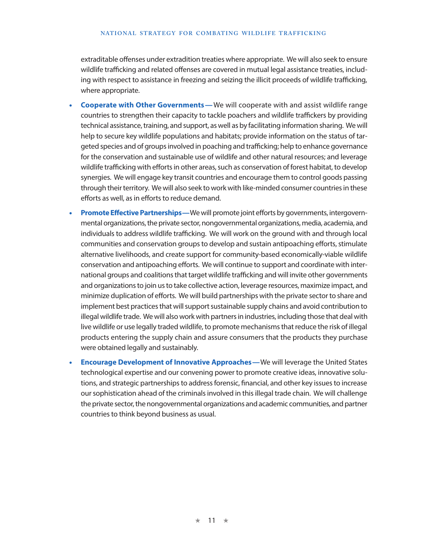#### **NATIONAL STRATEGY FOR COMBATING WILDLIFE TRAFFICKING**

extraditable offenses under extradition treaties where appropriate. We will also seek to ensure wildlife trafficking and related offenses are covered in mutual legal assistance treaties, including with respect to assistance in freezing and seizing the illicit proceeds of wildlife trafficking, where appropriate.

- **Cooperate with Other Governments** We will cooperate with and assist wildlife range countries to strengthen their capacity to tackle poachers and wildlife traffickers by providing technical assistance, training, and support, as well as by facilitating information sharing. We will help to secure key wildlife populations and habitats; provide information on the status of targeted species and of groups involved in poaching and trafficking; help to enhance governance for the conservation and sustainable use of wildlife and other natural resources; and leverage wildlife trafficking with efforts in other areas, such as conservation of forest habitat, to develop synergies. We will engage key transit countries and encourage them to control goods passing through their territory. We will also seek to work with like-minded consumer countries in these efforts as well, as in efforts to reduce demand.
- **Promote Effective Partnerships** We will promote joint efforts by governments, intergovernmental organizations, the private sector, nongovernmental organizations, media, academia, and individuals to address wildlife trafficking. We will work on the ground with and through local communities and conservation groups to develop and sustain antipoaching efforts, stimulate alternative livelihoods, and create support for community-based economically-viable wildlife conservation and antipoaching efforts. We will continue to support and coordinate with international groups and coalitions that target wildlife trafficking and will invite other governments and organizations to join us to take collective action, leverage resources, maximize impact, and minimize duplication of efforts. We will build partnerships with the private sector to share and implement best practices that will support sustainable supply chains and avoid contribution to illegal wildlife trade. We will also work with partners in industries, including those that deal with live wildlife or use legally traded wildlife, to promote mechanisms that reduce the risk of illegal products entering the supply chain and assure consumers that the products they purchase were obtained legally and sustainably.
- **Encourage Development of Innovative Approaches** We will leverage the United States technological expertise and our convening power to promote creative ideas, innovative solutions, and strategic partnerships to address forensic, financial, and other key issues to increase our sophistication ahead of the criminals involved in this illegal trade chain. We will challenge the private sector, the nongovernmental organizations and academic communities, and partner countries to think beyond business as usual.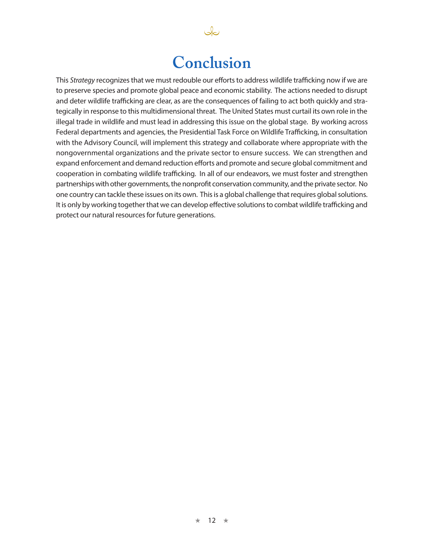## **Conclusion**

ىكە

This *Strategy* recognizes that we must redouble our efforts to address wildlife trafficking now if we are to preserve species and promote global peace and economic stability. The actions needed to disrupt and deter wildlife trafficking are clear, as are the consequences of failing to act both quickly and strategically in response to this multidimensional threat. The United States must curtail its own role in the illegal trade in wildlife and must lead in addressing this issue on the global stage. By working across Federal departments and agencies, the Presidential Task Force on Wildlife Trafficking, in consultation with the Advisory Council, will implement this strategy and collaborate where appropriate with the nongovernmental organizations and the private sector to ensure success. We can strengthen and expand enforcement and demand reduction efforts and promote and secure global commitment and cooperation in combating wildlife trafficking. In all of our endeavors, we must foster and strengthen partnerships with other governments, the nonprofit conservation community, and the private sector. No one country can tackle these issues on its own. This is a global challenge that requires global solutions. It is only by working together that we can develop effective solutions to combat wildlife trafficking and protect our natural resources for future generations.